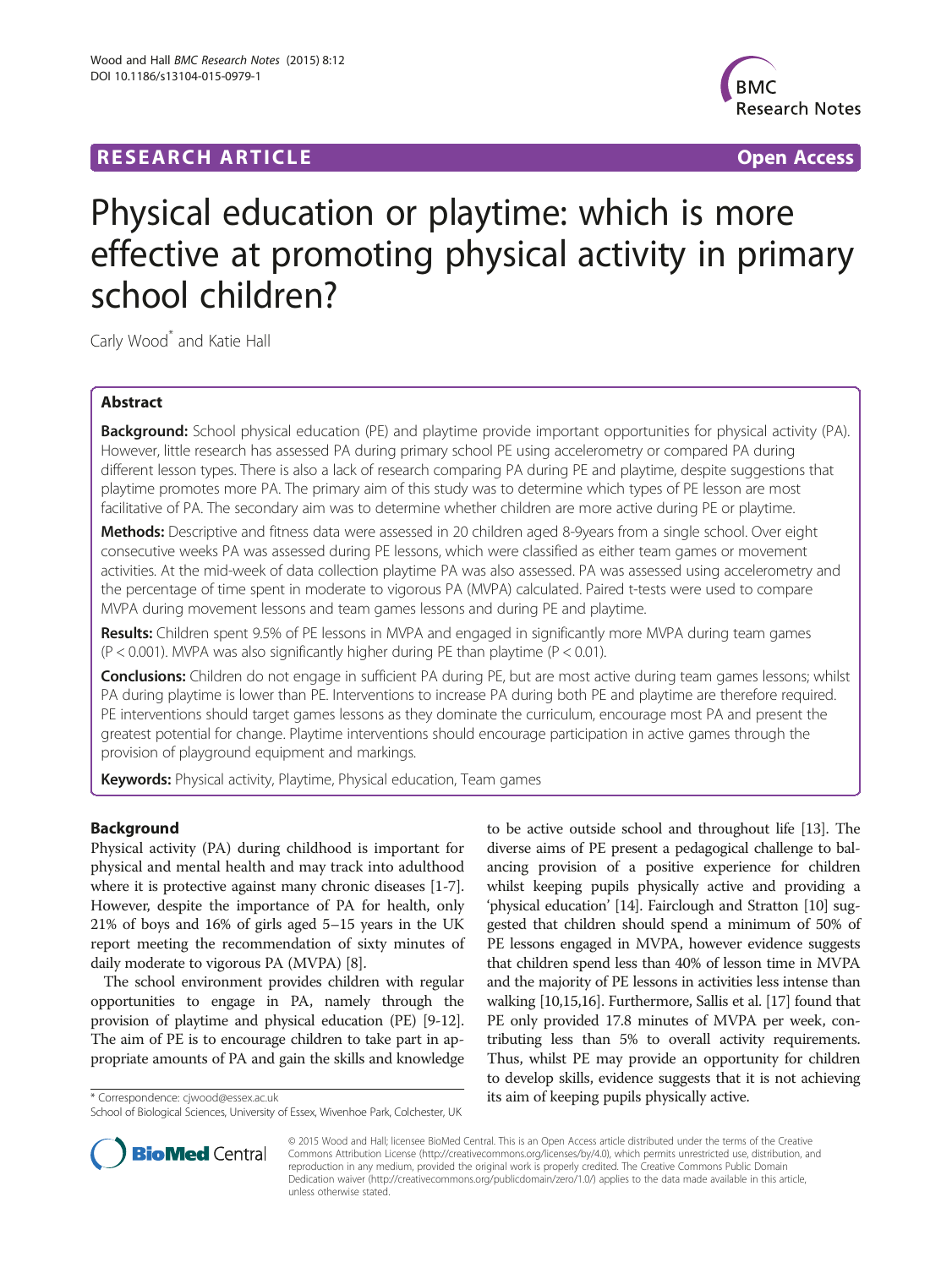## **RESEARCH ARTICLE Example 2018 12:00 Department of the CONNECTION CONNECTION CONNECTION CONNECTION**



# Physical education or playtime: which is more effective at promoting physical activity in primary school children?

Carly Wood<sup>\*</sup> and Katie Hall

## Abstract

Background: School physical education (PE) and playtime provide important opportunities for physical activity (PA). However, little research has assessed PA during primary school PE using accelerometry or compared PA during different lesson types. There is also a lack of research comparing PA during PE and playtime, despite suggestions that playtime promotes more PA. The primary aim of this study was to determine which types of PE lesson are most facilitative of PA. The secondary aim was to determine whether children are more active during PE or playtime.

Methods: Descriptive and fitness data were assessed in 20 children aged 8-9years from a single school. Over eight consecutive weeks PA was assessed during PE lessons, which were classified as either team games or movement activities. At the mid-week of data collection playtime PA was also assessed. PA was assessed using accelerometry and the percentage of time spent in moderate to vigorous PA (MVPA) calculated. Paired t-tests were used to compare MVPA during movement lessons and team games lessons and during PE and playtime.

Results: Children spent 9.5% of PE lessons in MVPA and engaged in significantly more MVPA during team games  $(P < 0.001)$ . MVPA was also significantly higher during PE than playtime  $(P < 0.01)$ .

**Conclusions:** Children do not engage in sufficient PA during PE, but are most active during team games lessons; whilst PA during playtime is lower than PE. Interventions to increase PA during both PE and playtime are therefore required. PE interventions should target games lessons as they dominate the curriculum, encourage most PA and present the greatest potential for change. Playtime interventions should encourage participation in active games through the provision of playground equipment and markings.

Keywords: Physical activity, Playtime, Physical education, Team games

## Background

Physical activity (PA) during childhood is important for physical and mental health and may track into adulthood where it is protective against many chronic diseases [\[1](#page-4-0)-[7](#page-4-0)]. However, despite the importance of PA for health, only 21% of boys and 16% of girls aged 5–15 years in the UK report meeting the recommendation of sixty minutes of daily moderate to vigorous PA (MVPA) [\[8](#page-4-0)].

The school environment provides children with regular opportunities to engage in PA, namely through the provision of playtime and physical education (PE) [[9](#page-4-0)-[12](#page-4-0)]. The aim of PE is to encourage children to take part in appropriate amounts of PA and gain the skills and knowledge

to be active outside school and throughout life [\[13\]](#page-4-0). The diverse aims of PE present a pedagogical challenge to balancing provision of a positive experience for children whilst keeping pupils physically active and providing a 'physical education' [[14](#page-4-0)]. Fairclough and Stratton [\[10](#page-4-0)] suggested that children should spend a minimum of 50% of PE lessons engaged in MVPA, however evidence suggests that children spend less than 40% of lesson time in MVPA and the majority of PE lessons in activities less intense than walking [[10,15,16](#page-4-0)]. Furthermore, Sallis et al. [\[17\]](#page-4-0) found that PE only provided 17.8 minutes of MVPA per week, contributing less than 5% to overall activity requirements. Thus, whilst PE may provide an opportunity for children to develop skills, evidence suggests that it is not achieving \* Correspondence: [cjwood@essex.ac.uk](mailto:cjwood@essex.ac.uk) **its aim of keeping pupils physically active.** 



© 2015 Wood and Hall; licensee BioMed Central. This is an Open Access article distributed under the terms of the Creative Commons Attribution License [\(http://creativecommons.org/licenses/by/4.0\)](http://creativecommons.org/licenses/by/4.0), which permits unrestricted use, distribution, and reproduction in any medium, provided the original work is properly credited. The Creative Commons Public Domain Dedication waiver [\(http://creativecommons.org/publicdomain/zero/1.0/](http://creativecommons.org/publicdomain/zero/1.0/)) applies to the data made available in this article, unless otherwise stated.

School of Biological Sciences, University of Essex, Wivenhoe Park, Colchester, UK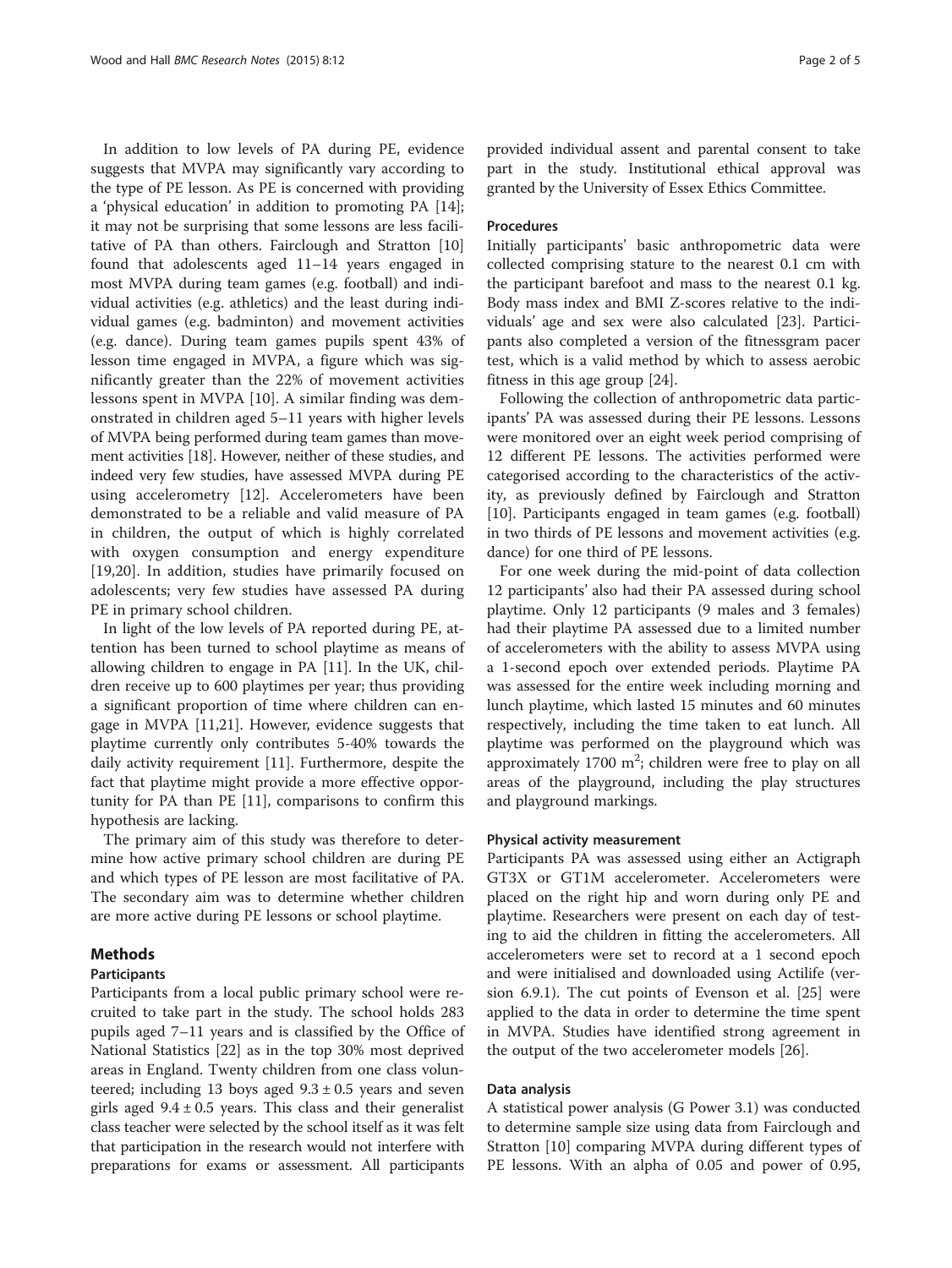In addition to low levels of PA during PE, evidence suggests that MVPA may significantly vary according to the type of PE lesson. As PE is concerned with providing a 'physical education' in addition to promoting PA [\[14](#page-4-0)]; it may not be surprising that some lessons are less facilitative of PA than others. Fairclough and Stratton [[10](#page-4-0)] found that adolescents aged 11–14 years engaged in most MVPA during team games (e.g. football) and individual activities (e.g. athletics) and the least during individual games (e.g. badminton) and movement activities (e.g. dance). During team games pupils spent 43% of lesson time engaged in MVPA, a figure which was significantly greater than the 22% of movement activities lessons spent in MVPA [\[10](#page-4-0)]. A similar finding was demonstrated in children aged 5–11 years with higher levels of MVPA being performed during team games than movement activities [[18](#page-4-0)]. However, neither of these studies, and indeed very few studies, have assessed MVPA during PE using accelerometry [\[12](#page-4-0)]. Accelerometers have been demonstrated to be a reliable and valid measure of PA in children, the output of which is highly correlated with oxygen consumption and energy expenditure [[19,20](#page-4-0)]. In addition, studies have primarily focused on adolescents; very few studies have assessed PA during PE in primary school children.

In light of the low levels of PA reported during PE, attention has been turned to school playtime as means of allowing children to engage in PA [\[11\]](#page-4-0). In the UK, children receive up to 600 playtimes per year; thus providing a significant proportion of time where children can engage in MVPA [\[11,21\]](#page-4-0). However, evidence suggests that playtime currently only contributes 5-40% towards the daily activity requirement [\[11\]](#page-4-0). Furthermore, despite the fact that playtime might provide a more effective opportunity for PA than PE [\[11](#page-4-0)], comparisons to confirm this hypothesis are lacking.

The primary aim of this study was therefore to determine how active primary school children are during PE and which types of PE lesson are most facilitative of PA. The secondary aim was to determine whether children are more active during PE lessons or school playtime.

## Methods

## Participants

Participants from a local public primary school were recruited to take part in the study. The school holds 283 pupils aged 7–11 years and is classified by the Office of National Statistics [\[22\]](#page-4-0) as in the top 30% most deprived areas in England. Twenty children from one class volunteered; including 13 boys aged  $9.3 \pm 0.5$  years and seven girls aged  $9.4 \pm 0.5$  years. This class and their generalist class teacher were selected by the school itself as it was felt that participation in the research would not interfere with preparations for exams or assessment. All participants

provided individual assent and parental consent to take part in the study. Institutional ethical approval was granted by the University of Essex Ethics Committee.

#### Procedures

Initially participants' basic anthropometric data were collected comprising stature to the nearest 0.1 cm with the participant barefoot and mass to the nearest 0.1 kg. Body mass index and BMI Z-scores relative to the individuals' age and sex were also calculated [[23\]](#page-4-0). Participants also completed a version of the fitnessgram pacer test, which is a valid method by which to assess aerobic fitness in this age group [[24\]](#page-4-0).

Following the collection of anthropometric data participants' PA was assessed during their PE lessons. Lessons were monitored over an eight week period comprising of 12 different PE lessons. The activities performed were categorised according to the characteristics of the activity, as previously defined by Fairclough and Stratton [[10\]](#page-4-0). Participants engaged in team games (e.g. football) in two thirds of PE lessons and movement activities (e.g. dance) for one third of PE lessons.

For one week during the mid-point of data collection 12 participants' also had their PA assessed during school playtime. Only 12 participants (9 males and 3 females) had their playtime PA assessed due to a limited number of accelerometers with the ability to assess MVPA using a 1-second epoch over extended periods. Playtime PA was assessed for the entire week including morning and lunch playtime, which lasted 15 minutes and 60 minutes respectively, including the time taken to eat lunch. All playtime was performed on the playground which was approximately  $1700 \text{ m}^2$ ; children were free to play on all areas of the playground, including the play structures and playground markings.

#### Physical activity measurement

Participants PA was assessed using either an Actigraph GT3X or GT1M accelerometer. Accelerometers were placed on the right hip and worn during only PE and playtime. Researchers were present on each day of testing to aid the children in fitting the accelerometers. All accelerometers were set to record at a 1 second epoch and were initialised and downloaded using Actilife (version 6.9.1). The cut points of Evenson et al. [[25\]](#page-4-0) were applied to the data in order to determine the time spent in MVPA. Studies have identified strong agreement in the output of the two accelerometer models [\[26\]](#page-4-0).

## Data analysis

A statistical power analysis (G Power 3.1) was conducted to determine sample size using data from Fairclough and Stratton [\[10](#page-4-0)] comparing MVPA during different types of PE lessons. With an alpha of 0.05 and power of 0.95,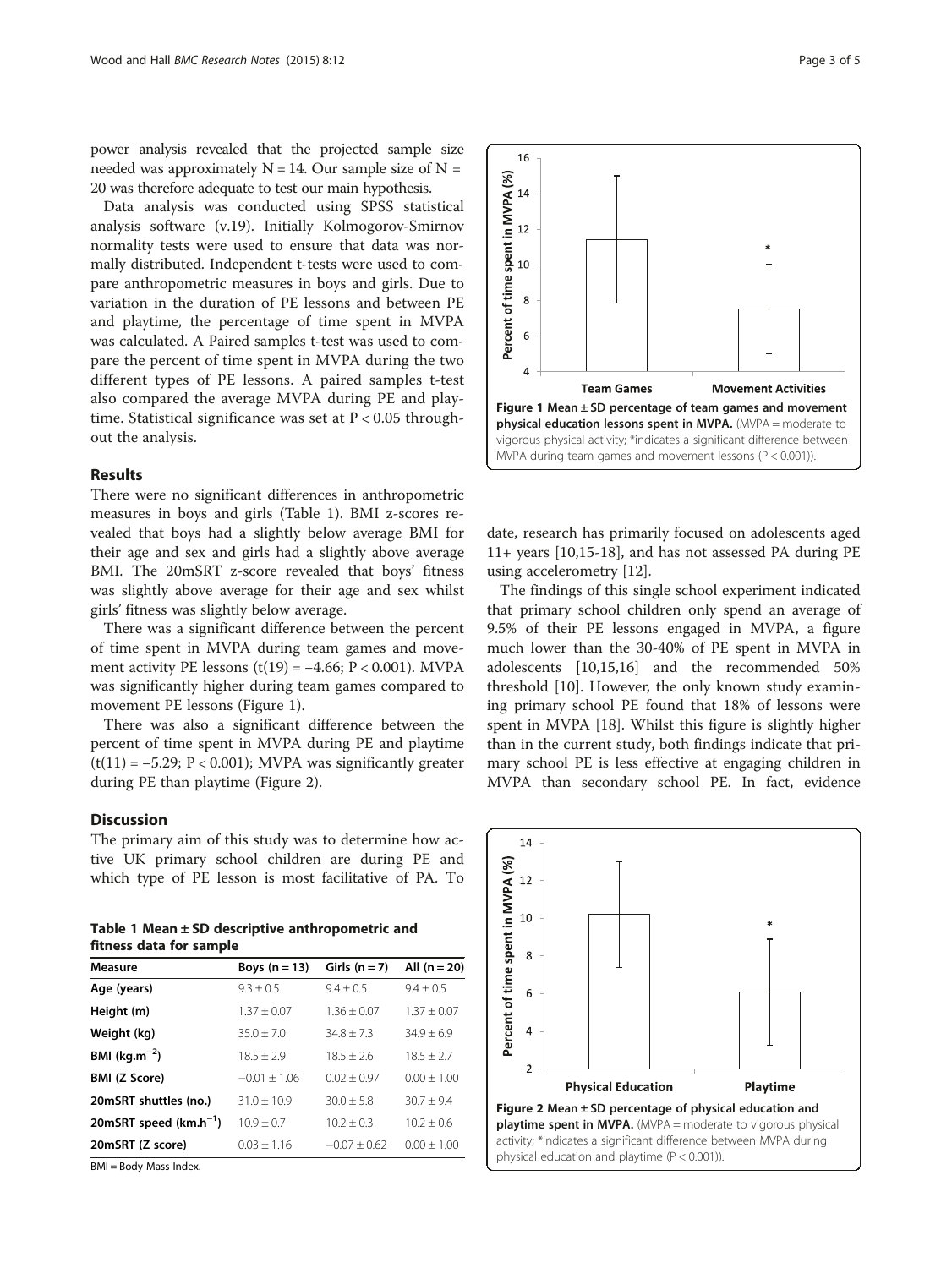power analysis revealed that the projected sample size needed was approximately  $N = 14$ . Our sample size of  $N =$ 20 was therefore adequate to test our main hypothesis.

Data analysis was conducted using SPSS statistical analysis software (v.19). Initially Kolmogorov-Smirnov normality tests were used to ensure that data was normally distributed. Independent t-tests were used to compare anthropometric measures in boys and girls. Due to variation in the duration of PE lessons and between PE and playtime, the percentage of time spent in MVPA was calculated. A Paired samples t-test was used to compare the percent of time spent in MVPA during the two different types of PE lessons. A paired samples t-test also compared the average MVPA during PE and playtime. Statistical significance was set at  $P < 0.05$  throughout the analysis.

## Results

There were no significant differences in anthropometric measures in boys and girls (Table 1). BMI z-scores revealed that boys had a slightly below average BMI for their age and sex and girls had a slightly above average BMI. The 20mSRT z-score revealed that boys' fitness was slightly above average for their age and sex whilst girls' fitness was slightly below average.

There was a significant difference between the percent of time spent in MVPA during team games and movement activity PE lessons  $(t(19) = -4.66; P < 0.001)$ . MVPA was significantly higher during team games compared to movement PE lessons (Figure 1).

There was also a significant difference between the percent of time spent in MVPA during PE and playtime  $(t(11) = -5.29; P < 0.001)$ ; MVPA was significantly greater during PE than playtime (Figure 2).

## **Discussion**

The primary aim of this study was to determine how active UK primary school children are during PE and which type of PE lesson is most facilitative of PA. To

Table 1 Mean ± SD descriptive anthropometric and fitness data for sample

| Measure                    | Boys $(n = 13)$ | Girls $(n = 7)$ | All $(n = 20)$ |
|----------------------------|-----------------|-----------------|----------------|
| Age (years)                | $9.3 + 0.5$     | $9.4 + 0.5$     | $9.4 + 0.5$    |
| Height (m)                 | $1.37 + 0.07$   | $1.36 + 0.07$   | $1.37 + 0.07$  |
| Weight (kg)                | $35.0 + 7.0$    | $34.8 + 7.3$    | $34.9 + 6.9$   |
| <b>BMI</b> ( $kg.m^{-2}$ ) | $18.5 + 2.9$    | $18.5 + 2.6$    | $18.5 + 2.7$   |
| <b>BMI (Z Score)</b>       | $-0.01 + 1.06$  | $0.02 + 0.97$   | $0.00 + 1.00$  |
| 20mSRT shuttles (no.)      | $31.0 + 10.9$   | $30.0 + 5.8$    | $30.7 + 9.4$   |
| 20mSRT speed $(km.h^{-1})$ | $10.9 + 0.7$    | $10.2 + 0.3$    | $10.2 + 0.6$   |
| 20mSRT (Z score)           | $0.03 + 1.16$   | $-0.07 + 0.62$  | $0.00 + 1.00$  |

BMI = Body Mass Index.



date, research has primarily focused on adolescents aged 11+ years [\[10,15](#page-4-0)-[18\]](#page-4-0), and has not assessed PA during PE using accelerometry [[12\]](#page-4-0).

The findings of this single school experiment indicated that primary school children only spend an average of 9.5% of their PE lessons engaged in MVPA, a figure much lower than the 30-40% of PE spent in MVPA in adolescents [\[10,15,16](#page-4-0)] and the recommended 50% threshold [\[10\]](#page-4-0). However, the only known study examining primary school PE found that 18% of lessons were spent in MVPA [[18\]](#page-4-0). Whilst this figure is slightly higher than in the current study, both findings indicate that primary school PE is less effective at engaging children in MVPA than secondary school PE. In fact, evidence

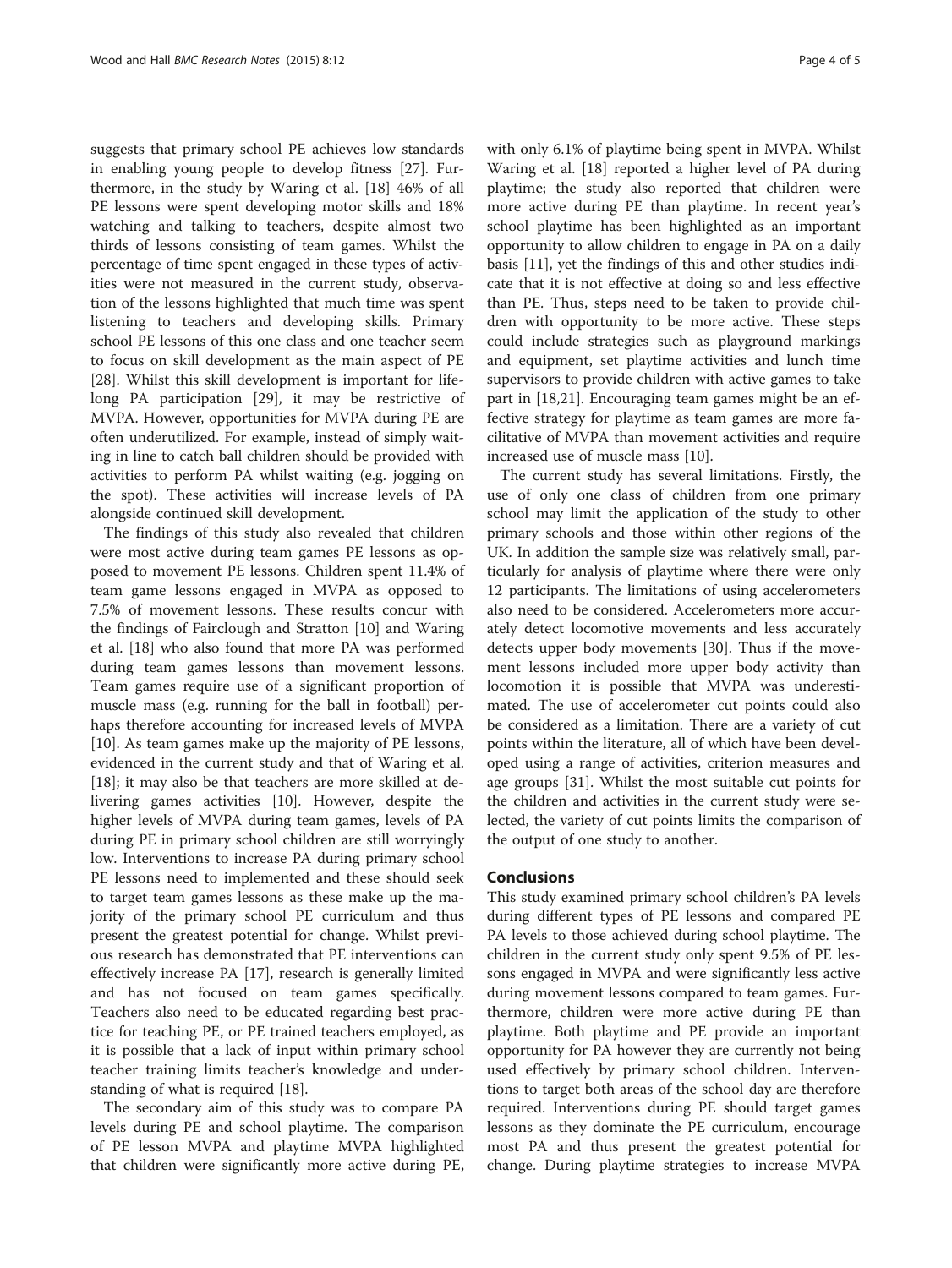suggests that primary school PE achieves low standards in enabling young people to develop fitness [\[27\]](#page-4-0). Furthermore, in the study by Waring et al. [\[18](#page-4-0)] 46% of all PE lessons were spent developing motor skills and 18% watching and talking to teachers, despite almost two thirds of lessons consisting of team games. Whilst the percentage of time spent engaged in these types of activities were not measured in the current study, observation of the lessons highlighted that much time was spent listening to teachers and developing skills. Primary school PE lessons of this one class and one teacher seem to focus on skill development as the main aspect of PE [[28\]](#page-4-0). Whilst this skill development is important for lifelong PA participation [[29](#page-4-0)], it may be restrictive of MVPA. However, opportunities for MVPA during PE are often underutilized. For example, instead of simply waiting in line to catch ball children should be provided with activities to perform PA whilst waiting (e.g. jogging on the spot). These activities will increase levels of PA alongside continued skill development.

The findings of this study also revealed that children were most active during team games PE lessons as opposed to movement PE lessons. Children spent 11.4% of team game lessons engaged in MVPA as opposed to 7.5% of movement lessons. These results concur with the findings of Fairclough and Stratton [[10\]](#page-4-0) and Waring et al. [[18\]](#page-4-0) who also found that more PA was performed during team games lessons than movement lessons. Team games require use of a significant proportion of muscle mass (e.g. running for the ball in football) perhaps therefore accounting for increased levels of MVPA [[10\]](#page-4-0). As team games make up the majority of PE lessons, evidenced in the current study and that of Waring et al. [[18\]](#page-4-0); it may also be that teachers are more skilled at delivering games activities [\[10](#page-4-0)]. However, despite the higher levels of MVPA during team games, levels of PA during PE in primary school children are still worryingly low. Interventions to increase PA during primary school PE lessons need to implemented and these should seek to target team games lessons as these make up the majority of the primary school PE curriculum and thus present the greatest potential for change. Whilst previous research has demonstrated that PE interventions can effectively increase PA [[17\]](#page-4-0), research is generally limited and has not focused on team games specifically. Teachers also need to be educated regarding best practice for teaching PE, or PE trained teachers employed, as it is possible that a lack of input within primary school teacher training limits teacher's knowledge and understanding of what is required [[18\]](#page-4-0).

The secondary aim of this study was to compare PA levels during PE and school playtime. The comparison of PE lesson MVPA and playtime MVPA highlighted that children were significantly more active during PE, with only 6.1% of playtime being spent in MVPA. Whilst Waring et al. [\[18](#page-4-0)] reported a higher level of PA during playtime; the study also reported that children were more active during PE than playtime. In recent year's school playtime has been highlighted as an important opportunity to allow children to engage in PA on a daily basis [[11\]](#page-4-0), yet the findings of this and other studies indicate that it is not effective at doing so and less effective than PE. Thus, steps need to be taken to provide children with opportunity to be more active. These steps could include strategies such as playground markings and equipment, set playtime activities and lunch time supervisors to provide children with active games to take part in [[18](#page-4-0),[21](#page-4-0)]. Encouraging team games might be an effective strategy for playtime as team games are more facilitative of MVPA than movement activities and require increased use of muscle mass [\[10](#page-4-0)].

The current study has several limitations. Firstly, the use of only one class of children from one primary school may limit the application of the study to other primary schools and those within other regions of the UK. In addition the sample size was relatively small, particularly for analysis of playtime where there were only 12 participants. The limitations of using accelerometers also need to be considered. Accelerometers more accurately detect locomotive movements and less accurately detects upper body movements [[30\]](#page-4-0). Thus if the movement lessons included more upper body activity than locomotion it is possible that MVPA was underestimated. The use of accelerometer cut points could also be considered as a limitation. There are a variety of cut points within the literature, all of which have been developed using a range of activities, criterion measures and age groups [\[31](#page-4-0)]. Whilst the most suitable cut points for the children and activities in the current study were selected, the variety of cut points limits the comparison of the output of one study to another.

#### Conclusions

This study examined primary school children's PA levels during different types of PE lessons and compared PE PA levels to those achieved during school playtime. The children in the current study only spent 9.5% of PE lessons engaged in MVPA and were significantly less active during movement lessons compared to team games. Furthermore, children were more active during PE than playtime. Both playtime and PE provide an important opportunity for PA however they are currently not being used effectively by primary school children. Interventions to target both areas of the school day are therefore required. Interventions during PE should target games lessons as they dominate the PE curriculum, encourage most PA and thus present the greatest potential for change. During playtime strategies to increase MVPA